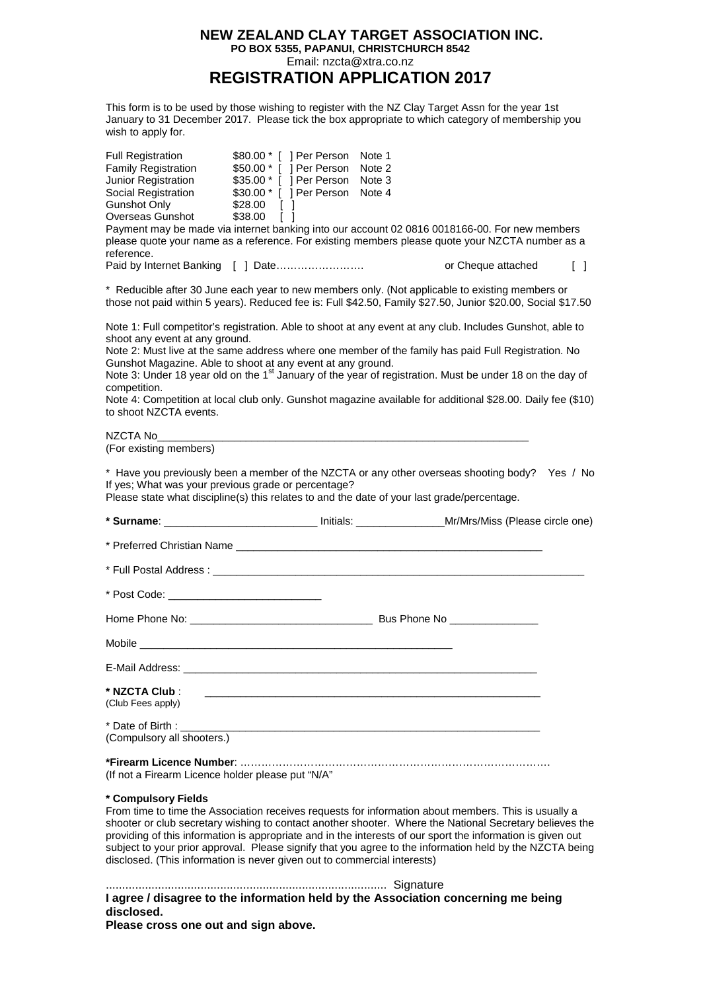## **NEW ZEALAND CLAY TARGET ASSOCIATION INC. PO BOX 5355, PAPANUI, CHRISTCHURCH 8542** Email: nzcta@xtra.co.nz **REGISTRATION APPLICATION 2017**

This form is to be used by those wishing to register with the NZ Clay Target Assn for the year 1st January to 31 December 2017. Please tick the box appropriate to which category of membership you wish to apply for.

| <b>Full Registration</b>   | \$80.00 * [ ] Per Person | Note 1 |                                                                                                 |        |
|----------------------------|--------------------------|--------|-------------------------------------------------------------------------------------------------|--------|
| <b>Family Registration</b> | \$50.00 * [ ] Per Person | Note 2 |                                                                                                 |        |
| Junior Registration        | \$35.00 * [ ] Per Person | Note 3 |                                                                                                 |        |
| Social Registration        | \$30.00 * [ ] Per Person | Note 4 |                                                                                                 |        |
| Gunshot Only               | \$28.00                  |        |                                                                                                 |        |
| Overseas Gunshot           | \$38.00                  |        |                                                                                                 |        |
|                            |                          |        | Payment may be made via internet banking into our account 02 0816 0018166-00. For new members   |        |
| reference.                 |                          |        | please quote your name as a reference. For existing members please quote your NZCTA number as a |        |
|                            |                          |        | or Cheque attached                                                                              | $\Box$ |

\* Reducible after 30 June each year to new members only. (Not applicable to existing members or those not paid within 5 years). Reduced fee is: Full \$42.50, Family \$27.50, Junior \$20.00, Social \$17.50

Note 1: Full competitor's registration. Able to shoot at any event at any club. Includes Gunshot, able to shoot any event at any ground.

Note 2: Must live at the same address where one member of the family has paid Full Registration. No Gunshot Magazine. Able to shoot at any event at any ground.

Note 3: Under 18 year old on the 1<sup>st</sup> January of the year of registration. Must be under 18 on the day of competition.

Note 4: Competition at local club only. Gunshot magazine available for additional \$28.00. Daily fee (\$10) to shoot NZCTA events.

NZCTA No

(For existing members)

\* Have you previously been a member of the NZCTA or any other overseas shooting body? Yes / No If yes; What was your previous grade or percentage?

Please state what discipline(s) this relates to and the date of your last grade/percentage.

| * Surname: ___________________________________ Initials: ______________________Mr/Mrs/Miss (Please circle one) |  |  |
|----------------------------------------------------------------------------------------------------------------|--|--|
|                                                                                                                |  |  |
|                                                                                                                |  |  |
| * Post Code: _____________________________                                                                     |  |  |
|                                                                                                                |  |  |
|                                                                                                                |  |  |
|                                                                                                                |  |  |
| (Club Fees apply)                                                                                              |  |  |
| (Compulsory all shooters.)                                                                                     |  |  |
| (If not a Firearm Licence holder please put "N/A"                                                              |  |  |

## **\* Compulsory Fields**

From time to time the Association receives requests for information about members. This is usually a shooter or club secretary wishing to contact another shooter. Where the National Secretary believes the providing of this information is appropriate and in the interests of our sport the information is given out subject to your prior approval. Please signify that you agree to the information held by the NZCTA being disclosed. (This information is never given out to commercial interests)

...................................................................................... Signature **I agree / disagree to the information held by the Association concerning me being disclosed. Please cross one out and sign above.**